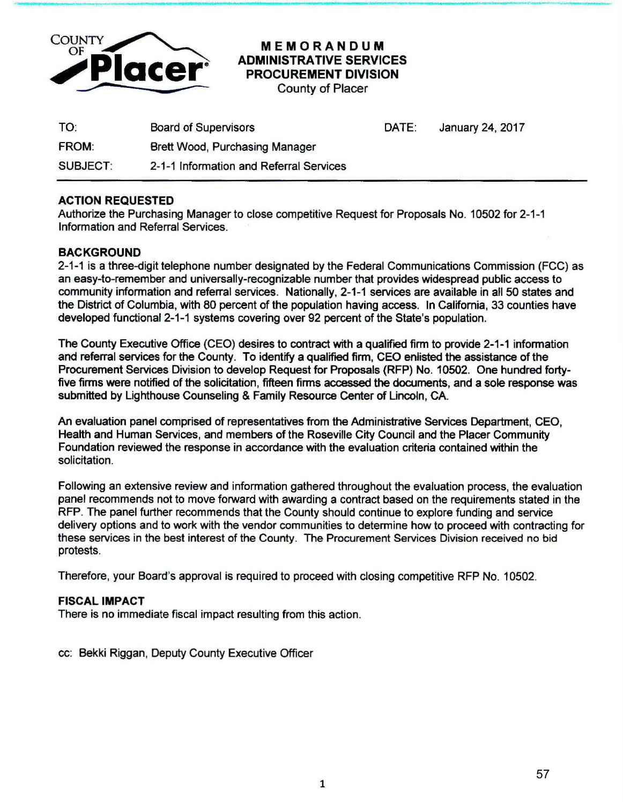

## MEMORANDUM ADMINISTRATIVE SERVICES PROCUREMENT DIVISION

County of Placer

| TO:             | <b>Board of Supervisors</b>             | DATE: | January 24, 2017 |
|-----------------|-----------------------------------------|-------|------------------|
| <b>FROM:</b>    | Brett Wood, Purchasing Manager          |       |                  |
| <b>SUBJECT:</b> | 2-1-1 Information and Referral Services |       |                  |

## ACTION REQUESTED

Authorize the Purchasing Manager to close competitive Request for Proposals No. 10502 for 2-1-1 Information and Referral Services.

## **BACKGROUND**

2-1-1 is a three-digit telephone number designated by the Federal Communications Commission (FCC) as an easy-to-remember and universally-recognizable number that provides widespread public access to community information and referral services. Nationally, 2-1-1 services are available in all 50 states and the District of Columbia, with 80 percent of the population having access. In California, 33 counties have developed functional 2-1-1 systems covering over 92 percent of the State's population.

The County Executive Office (CEO) desires to contract with a qualified firm to provide 2-1-1 information and referral services for the County. To identify a qualifted firm, CEO enlisted the assistance of the Procurement Services Division to develop Request for Proposals (RFP) No. 10502. One hundred fortyfive firms were notified of the solicitation, fifteen firms accessed the documents, and a sole response was submitted by Lighthouse Counseling & Family Resource Center of Lincoln, CA.

An evaluation panel comprised of representatives from the Administrative Services Department, CEO, Health and Human Services, and members of the Roseville City Council and the Placer Community Foundation reviewed the response in accordance with the evaluation criteria contained within the solicitation.

Following an extensive review and information gathered throughout the evaluation process, the evaluation panel recommends not to move forward with awarding a contract based on the requirements stated in the RFP. The panel further recommends that the County should continue to explore funding and service delivery options and to work with the vendor communities to determine how to proceed with contracting for these services in the best interest of the County. The Procurement Services Division received no bid protests.

Therefore, your Board's approval is required to proceed with closing competitive RFP No. 10502.

## FISCAL IMPACT

There is no immediate fiscal impact resulting from this action.

cc: Bekki Riggan, Deputy County Executive Officer